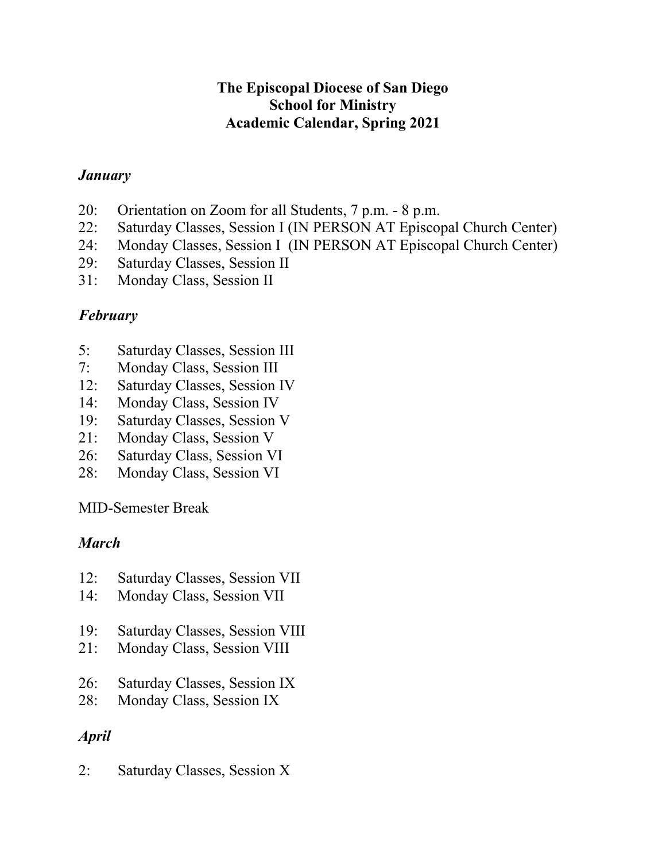#### **The Episcopal Diocese of San Diego School for Ministry Academic Calendar, Spring 2021**

#### *January*

- 20: Orientation on Zoom for all Students, 7 p.m. 8 p.m.
- 22: Saturday Classes, Session I (IN PERSON AT Episcopal Church Center)
- 24: Monday Classes, Session I (IN PERSON AT Episcopal Church Center)
- 29: Saturday Classes, Session II
- 31: Monday Class, Session II

# *February*

- 5: Saturday Classes, Session III
- 7: Monday Class, Session III
- 12: Saturday Classes, Session IV
- 14: Monday Class, Session IV
- 19: Saturday Classes, Session V
- 21: Monday Class, Session V
- 26: Saturday Class, Session VI
- 28: Monday Class, Session VI

MID-Semester Break

# *March*

- 12: Saturday Classes, Session VII
- 14: Monday Class, Session VII
- 19: Saturday Classes, Session VIII
- 21: Monday Class, Session VIII
- 26: Saturday Classes, Session IX
- 28: Monday Class, Session IX

# *April*

2: Saturday Classes, Session X